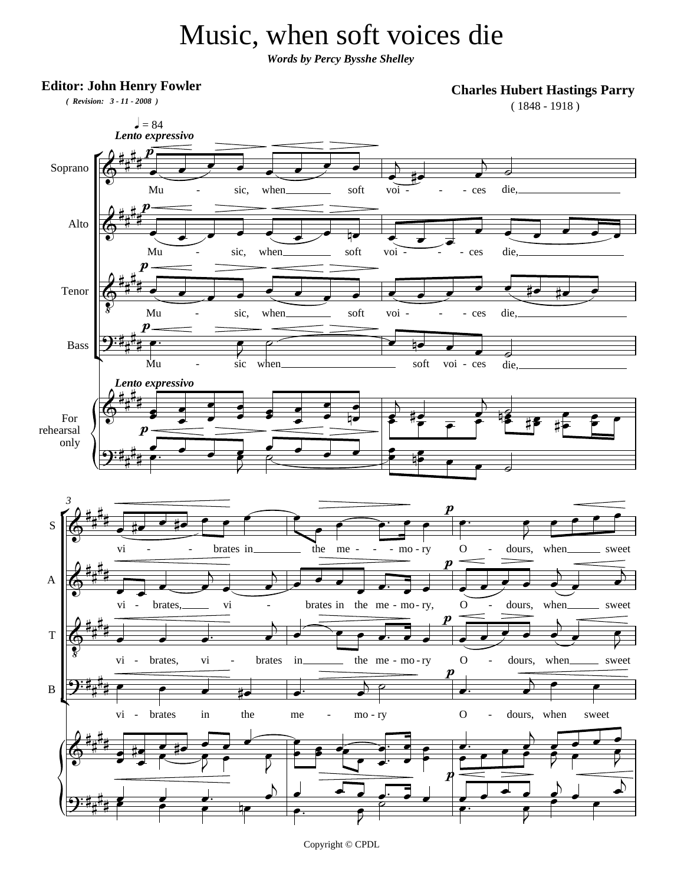## Music, when soft voices die

*Words by Percy Bysshe Shelley*

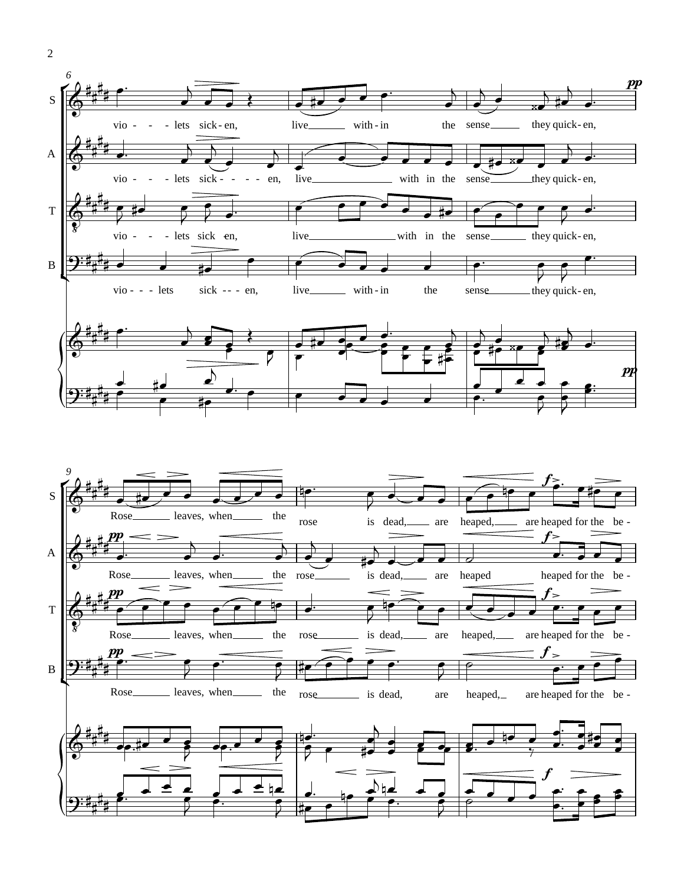

2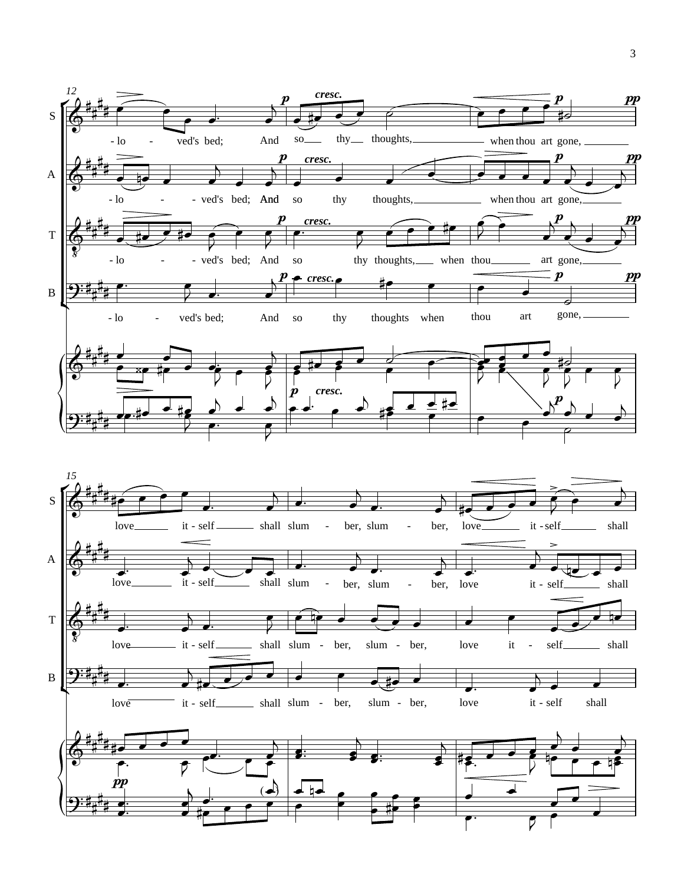



B